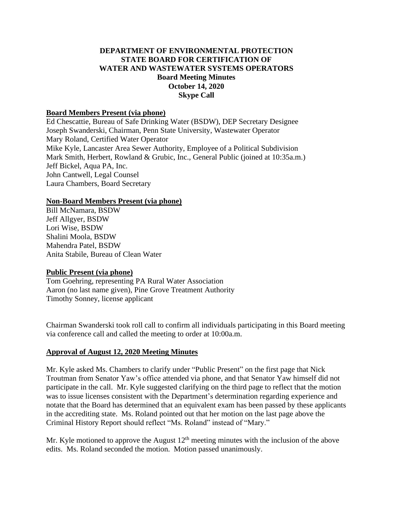## **DEPARTMENT OF ENVIRONMENTAL PROTECTION STATE BOARD FOR CERTIFICATION OF WATER AND WASTEWATER SYSTEMS OPERATORS Board Meeting Minutes October 14, 2020 Skype Call**

#### **Board Members Present (via phone)**

Ed Chescattie, Bureau of Safe Drinking Water (BSDW), DEP Secretary Designee Joseph Swanderski, Chairman, Penn State University, Wastewater Operator Mary Roland, Certified Water Operator Mike Kyle, Lancaster Area Sewer Authority, Employee of a Political Subdivision Mark Smith, Herbert, Rowland & Grubic, Inc., General Public (joined at 10:35a.m.) Jeff Bickel, Aqua PA, Inc. John Cantwell, Legal Counsel Laura Chambers, Board Secretary

### **Non-Board Members Present (via phone)**

Bill McNamara, BSDW Jeff Allgyer, BSDW Lori Wise, BSDW Shalini Moola, BSDW Mahendra Patel, BSDW Anita Stabile, Bureau of Clean Water

## **Public Present (via phone)**

Tom Goehring, representing PA Rural Water Association Aaron (no last name given), Pine Grove Treatment Authority Timothy Sonney, license applicant

Chairman Swanderski took roll call to confirm all individuals participating in this Board meeting via conference call and called the meeting to order at 10:00a.m.

## **Approval of August 12, 2020 Meeting Minutes**

Mr. Kyle asked Ms. Chambers to clarify under "Public Present" on the first page that Nick Troutman from Senator Yaw's office attended via phone, and that Senator Yaw himself did not participate in the call. Mr. Kyle suggested clarifying on the third page to reflect that the motion was to issue licenses consistent with the Department's determination regarding experience and notate that the Board has determined that an equivalent exam has been passed by these applicants in the accrediting state. Ms. Roland pointed out that her motion on the last page above the Criminal History Report should reflect "Ms. Roland" instead of "Mary."

Mr. Kyle motioned to approve the August  $12<sup>th</sup>$  meeting minutes with the inclusion of the above edits. Ms. Roland seconded the motion. Motion passed unanimously.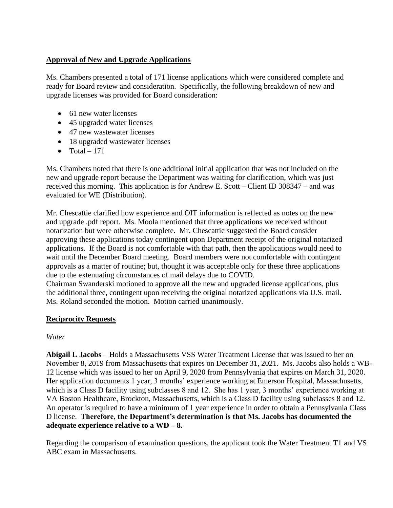# **Approval of New and Upgrade Applications**

Ms. Chambers presented a total of 171 license applications which were considered complete and ready for Board review and consideration. Specifically, the following breakdown of new and upgrade licenses was provided for Board consideration:

- 61 new water licenses
- 45 upgraded water licenses
- 47 new wastewater licenses
- 18 upgraded wastewater licenses
- Total  $-171$

Ms. Chambers noted that there is one additional initial application that was not included on the new and upgrade report because the Department was waiting for clarification, which was just received this morning. This application is for Andrew E. Scott – Client ID 308347 – and was evaluated for WE (Distribution).

Mr. Chescattie clarified how experience and OIT information is reflected as notes on the new and upgrade .pdf report. Ms. Moola mentioned that three applications we received without notarization but were otherwise complete. Mr. Chescattie suggested the Board consider approving these applications today contingent upon Department receipt of the original notarized applications. If the Board is not comfortable with that path, then the applications would need to wait until the December Board meeting. Board members were not comfortable with contingent approvals as a matter of routine; but, thought it was acceptable only for these three applications due to the extenuating circumstances of mail delays due to COVID.

Chairman Swanderski motioned to approve all the new and upgraded license applications, plus the additional three, contingent upon receiving the original notarized applications via U.S. mail. Ms. Roland seconded the motion. Motion carried unanimously.

## **Reciprocity Requests**

## *Water*

**Abigail L Jacobs** – Holds a Massachusetts VSS Water Treatment License that was issued to her on November 8, 2019 from Massachusetts that expires on December 31, 2021. Ms. Jacobs also holds a WB-12 license which was issued to her on April 9, 2020 from Pennsylvania that expires on March 31, 2020. Her application documents 1 year, 3 months' experience working at Emerson Hospital, Massachusetts, which is a Class D facility using subclasses 8 and 12. She has 1 year, 3 months' experience working at VA Boston Healthcare, Brockton, Massachusetts, which is a Class D facility using subclasses 8 and 12. An operator is required to have a minimum of 1 year experience in order to obtain a Pennsylvania Class D license. **Therefore, the Department's determination is that Ms. Jacobs has documented the adequate experience relative to a WD – 8.** 

Regarding the comparison of examination questions, the applicant took the Water Treatment T1 and VS ABC exam in Massachusetts.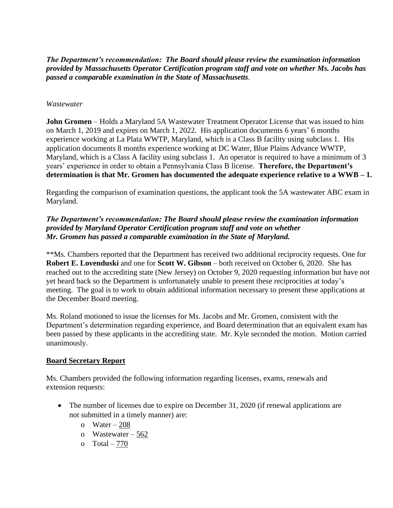*The Department's recommendation: The Board should please review the examination information provided by Massachusetts Operator Certification program staff and vote on whether Ms. Jacobs has passed a comparable examination in the State of Massachusetts.*

#### *Wastewater*

**John Gromen** – Holds a Maryland 5A Wastewater Treatment Operator License that was issued to him on March 1, 2019 and expires on March 1, 2022. His application documents 6 years' 6 months experience working at La Plata WWTP, Maryland, which is a Class B facility using subclass 1. His application documents 8 months experience working at DC Water, Blue Plains Advance WWTP, Maryland, which is a Class A facility using subclass 1. An operator is required to have a minimum of 3 years' experience in order to obtain a Pennsylvania Class B license. **Therefore, the Department's determination is that Mr. Gromen has documented the adequate experience relative to a WWB – 1.** 

Regarding the comparison of examination questions, the applicant took the 5A wastewater ABC exam in Maryland.

### *The Department's recommendation: The Board should please review the examination information provided by Maryland Operator Certification program staff and vote on whether Mr. Gromen has passed a comparable examination in the State of Maryland.*

\*\*Ms. Chambers reported that the Department has received two additional reciprocity requests. One for **Robert E. Lovenduski** and one for **Scott W. Gibson** – both received on October 6, 2020. She has reached out to the accrediting state (New Jersey) on October 9, 2020 requesting information but have not yet heard back so the Department is unfortunately unable to present these reciprocities at today's meeting. The goal is to work to obtain additional information necessary to present these applications at the December Board meeting.

Ms. Roland motioned to issue the licenses for Ms. Jacobs and Mr. Gromen, consistent with the Department's determination regarding experience, and Board determination that an equivalent exam has been passed by these applicants in the accrediting state. Mr. Kyle seconded the motion. Motion carried unanimously.

#### **Board Secretary Report**

Ms. Chambers provided the following information regarding licenses, exams, renewals and extension requests:

- The number of licenses due to expire on December 31, 2020 (if renewal applications are not submitted in a timely manner) are:
	- o Water  $-208$
	- o Wastewater 562
	- o  $Total 770$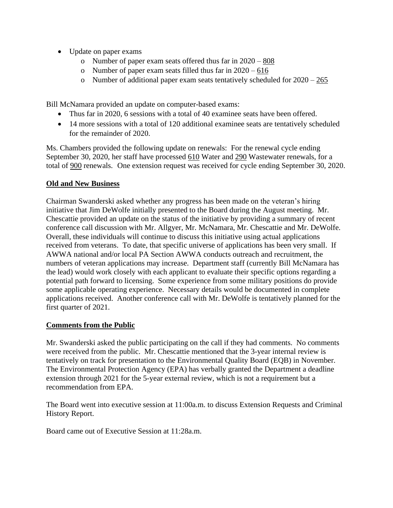- Update on paper exams
	- o Number of paper exam seats offered thus far in  $2020 808$
	- o Number of paper exam seats filled thus far in  $2020 616$
	- o Number of additional paper exam seats tentatively scheduled for  $2020 265$

Bill McNamara provided an update on computer-based exams:

- Thus far in 2020, 6 sessions with a total of 40 examinee seats have been offered.
- 14 more sessions with a total of 120 additional examinee seats are tentatively scheduled for the remainder of 2020.

Ms. Chambers provided the following update on renewals: For the renewal cycle ending September 30, 2020, her staff have processed 610 Water and 290 Wastewater renewals, for a total of 900 renewals. One extension request was received for cycle ending September 30, 2020.

### **Old and New Business**

Chairman Swanderski asked whether any progress has been made on the veteran's hiring initiative that Jim DeWolfe initially presented to the Board during the August meeting. Mr. Chescattie provided an update on the status of the initiative by providing a summary of recent conference call discussion with Mr. Allgyer, Mr. McNamara, Mr. Chescattie and Mr. DeWolfe. Overall, these individuals will continue to discuss this initiative using actual applications received from veterans. To date, that specific universe of applications has been very small. If AWWA national and/or local PA Section AWWA conducts outreach and recruitment, the numbers of veteran applications may increase. Department staff (currently Bill McNamara has the lead) would work closely with each applicant to evaluate their specific options regarding a potential path forward to licensing. Some experience from some military positions do provide some applicable operating experience. Necessary details would be documented in complete applications received. Another conference call with Mr. DeWolfe is tentatively planned for the first quarter of 2021.

#### **Comments from the Public**

Mr. Swanderski asked the public participating on the call if they had comments. No comments were received from the public. Mr. Chescattie mentioned that the 3-year internal review is tentatively on track for presentation to the Environmental Quality Board (EQB) in November. The Environmental Protection Agency (EPA) has verbally granted the Department a deadline extension through 2021 for the 5-year external review, which is not a requirement but a recommendation from EPA.

The Board went into executive session at 11:00a.m. to discuss Extension Requests and Criminal History Report.

Board came out of Executive Session at 11:28a.m.